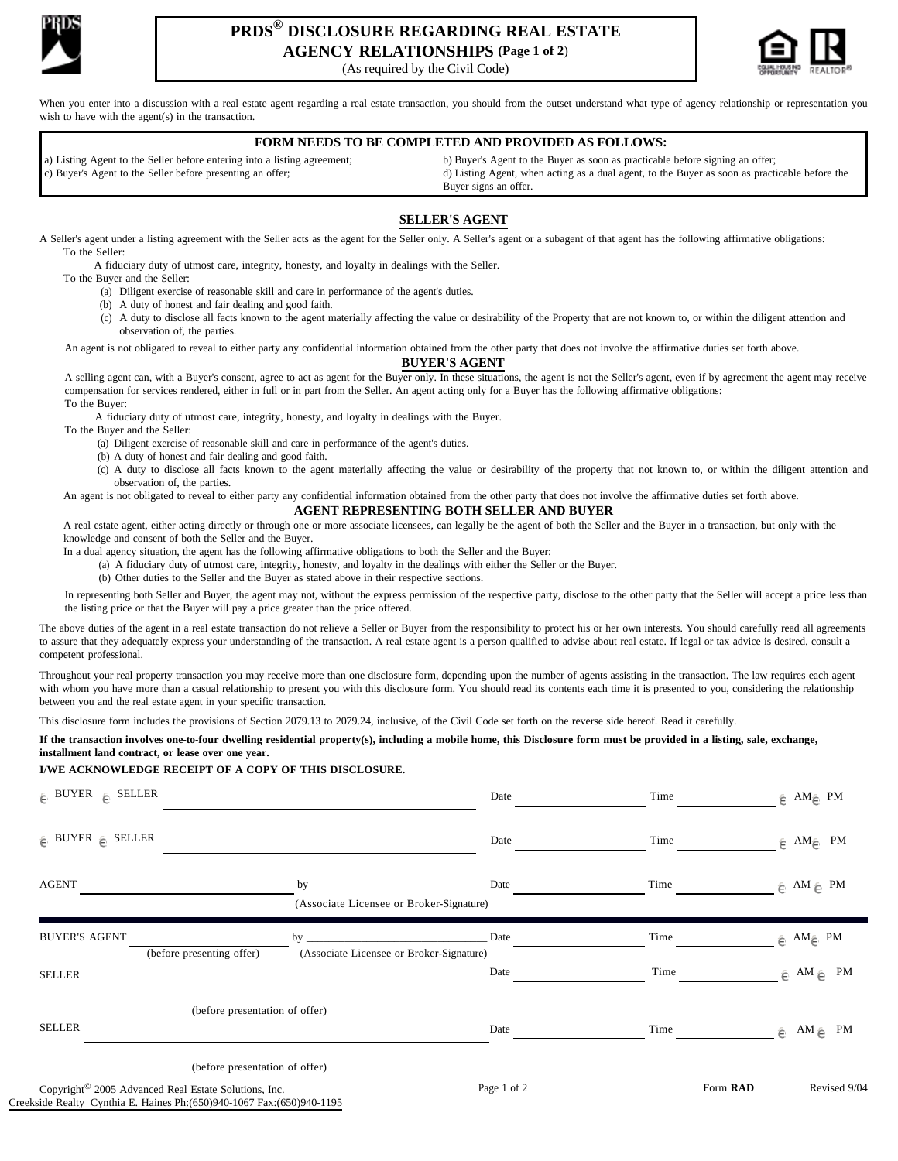

# **PRDS® DISCLOSURE REGARDING REAL ESTATE AGENCY RELATIONSHIPS (Page 1 of 2**)

(As required by the Civil Code)



When you enter into a discussion with a real estate agent regarding a real estate transaction, you should from the outset understand what type of agency relationship or representation you wish to have with the agent(s) in the transaction.

# **FORM NEEDS TO BE COMPLETED AND PROVIDED AS FOLLOWS:**

 a) Listing Agent to the Seller before entering into a listing agreement; b) Buyer's Agent to the Buyer as soon as practicable before signing an offer; c) Buyer's Agent to the Seller before presenting an offer;<br>d) Listing Agent, when acting as a dual agent, to the Buyer as soon as practicable before the Buyer signs an offer.

### **SELLER'S AGENT**

A Seller's agent under a listing agreement with the Seller acts as the agent for the Seller only. A Seller's agent or a subagent of that agent has the following affirmative obligations: To the Seller:

A fiduciary duty of utmost care, integrity, honesty, and loyalty in dealings with the Seller.

To the Buyer and the Seller:

(a) Diligent exercise of reasonable skill and care in performance of the agent's duties.

(b) A duty of honest and fair dealing and good faith.

(c) A duty to disclose all facts known to the agent materially affecting the value or desirability of the Property that are not known to, or within the diligent attention and observation of, the parties.

An agent is not obligated to reveal to either party any confidential information obtained from the other party that does not involve the affirmative duties set forth above.

#### **BUYER'S AGENT**

A selling agent can, with a Buyer's consent, agree to act as agent for the Buyer only. In these situations, the agent is not the Seller's agent, even if by agreement the agent may receive compensation for services rendered, either in full or in part from the Seller. An agent acting only for a Buyer has the following affirmative obligations: To the Buyer:

A fiduciary duty of utmost care, integrity, honesty, and loyalty in dealings with the Buyer.

To the Buyer and the Seller:

(a) Diligent exercise of reasonable skill and care in performance of the agent's duties.

(b) A duty of honest and fair dealing and good faith.

(c) A duty to disclose all facts known to the agent materially affecting the value or desirability of the property that not known to, or within the diligent attention and observation of, the parties.

An agent is not obligated to reveal to either party any confidential information obtained from the other party that does not involve the affirmative duties set forth above.

### **AGENT REPRESENTING BOTH SELLER AND BUYER**

A real estate agent, either acting directly or through one or more associate licensees, can legally be the agent of both the Seller and the Buyer in a transaction, but only with the knowledge and consent of both the Seller and the Buyer.

In a dual agency situation, the agent has the following affirmative obligations to both the Seller and the Buyer:

(a) A fiduciary duty of utmost care, integrity, honesty, and loyalty in the dealings with either the Seller or the Buyer.

(b) Other duties to the Seller and the Buyer as stated above in their respective sections.

In representing both Seller and Buyer, the agent may not, without the express permission of the respective party, disclose to the other party that the Seller will accept a price less than the listing price or that the Buyer will pay a price greater than the price offered.

The above duties of the agent in a real estate transaction do not relieve a Seller or Buyer from the responsibility to protect his or her own interests. You should carefully read all agreements to assure that they adequately express your understanding of the transaction. A real estate agent is a person qualified to advise about real estate. If legal or tax advice is desired, consult a competent professional.

Throughout your real property transaction you may receive more than one disclosure form, depending upon the number of agents assisting in the transaction. The law requires each agent with whom you have more than a casual relationship to present you with this disclosure form. You should read its contents each time it is presented to you, considering the relationship between you and the real estate agent in your specific transaction.

This disclosure form includes the provisions of Section 2079.13 to 2079.24, inclusive, of the Civil Code set forth on the reverse side hereof. Read it carefully.

**If the transaction involves one-to-four dwelling residential property(s), including a mobile home, this Disclosure form must be provided in a listing, sale, exchange, installment land contract, or lease over one year.** 

#### **I/WE ACKNOWLEDGE RECEIPT OF A COPY OF THIS DISCLOSURE.**

| $\oplus$ BUYER $\oplus$ SELLER                                   |                                                                             | Date        | Time     | $\in$ AM $\in$ PM       |
|------------------------------------------------------------------|-----------------------------------------------------------------------------|-------------|----------|-------------------------|
| $\in$ BUYER $\in$ SELLER                                         |                                                                             | Date        | Time     | $\oplus$ AM $\oplus$ PM |
| <b>AGENT</b>                                                     | by                                                                          | Date        | Time     | $\in$ AM $\in$ PM       |
|                                                                  | (Associate Licensee or Broker-Signature)                                    |             |          |                         |
| <b>BUYER'S AGENT</b>                                             | by<br>(before presenting offer)<br>(Associate Licensee or Broker-Signature) | Date        | Time     | $\in$ AM $\in$ PM       |
| <b>SELLER</b>                                                    |                                                                             | Date        | Time     | $\in$ AM $\in$ PM       |
|                                                                  | (before presentation of offer)                                              |             |          |                         |
| <b>SELLER</b>                                                    |                                                                             | Date        | Time     | $\in$ AM $\in$ PM       |
|                                                                  | (before presentation of offer)                                              |             |          |                         |
| Copyright <sup>©</sup> 2005 Advanced Real Estate Solutions, Inc. |                                                                             | Page 1 of 2 | Form RAD | Revised 9/04            |